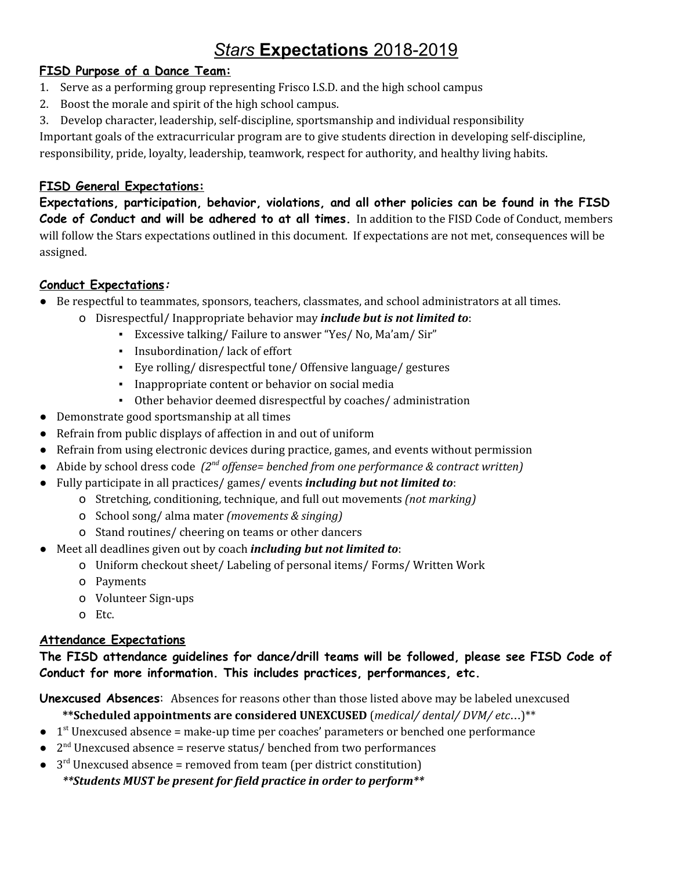# *Stars* **Expectations** 2018-2019

# **FISD Purpose of a Dance Team:**

- 1. Serve as a performing group representing Frisco I.S.D. and the high school campus
- 2. Boost the morale and spirit of the high school campus.
- 3. Develop character, leadership, self-discipline, sportsmanship and individual responsibility

Important goals of the extracurricular program are to give students direction in developing self-discipline, responsibility, pride, loyalty, leadership, teamwork, respect for authority, and healthy living habits.

# **FISD General Expectations:**

**Expectations, participation, behavior, violations, and all other policies can be found in the FISD Code of Conduct and will be adhered to at all times.** In addition to the FISD Code of Conduct, members will follow the Stars expectations outlined in this document. If expectations are not met, consequences will be assigned.

# **Conduct Expectations:**

- Be respectful to teammates, sponsors, teachers, classmates, and school administrators at all times.
	- o Disrespectful/ Inappropriate behavior may *include but is not limited to*:
		- Excessive talking/ Failure to answer "Yes/ No, Ma'am/ Sir"
		- Insubordination/ lack of effort
		- Eye rolling/ disrespectful tone/ Offensive language/ gestures
		- Inappropriate content or behavior on social media
		- Other behavior deemed disrespectful by coaches/ administration
- Demonstrate good sportsmanship at all times
- Refrain from public displays of affection in and out of uniform
- Refrain from using electronic devices during practice, games, and events without permission
- Abide by school dress code  $(2<sup>nd</sup>$  *offense= benched from one performance & contract written)*
- Fully participate in all practices/ games/ events *including but not limited to*:
	- o Stretching, conditioning, technique, and full out movements *(not marking)*
	- o School song/ alma mater *(movements & singing)*
	- o Stand routines/ cheering on teams or other dancers
- Meet all deadlines given out by coach *including but not limited to*:
	- o Uniform checkout sheet/ Labeling of personal items/ Forms/ Written Work
	- o Payments
	- o Volunteer Sign-ups
	- o Etc.

## **Attendance Expectations**

**The FISD attendance guidelines for dance/drill teams will be followed, please see FISD Code of Conduct for more information. This includes practices, performances, etc.**

**Unexcused Absences**: Absences for reasons other than those listed above may be labeled unexcused

**\*\*Scheduled appointments are considered UNEXCUSED** (*medical/ dental/ DVM/ etc*…)\*\*

- $\bullet$  1<sup>st</sup> Unexcused absence = make-up time per coaches' parameters or benched one performance
- $\bullet$  2<sup>nd</sup> Unexcused absence = reserve status/ benched from two performances
- $\bullet$  3<sup>rd</sup> Unexcused absence = removed from team (per district constitution) *\*\*Students MUST be present for field practice in order to perform\*\**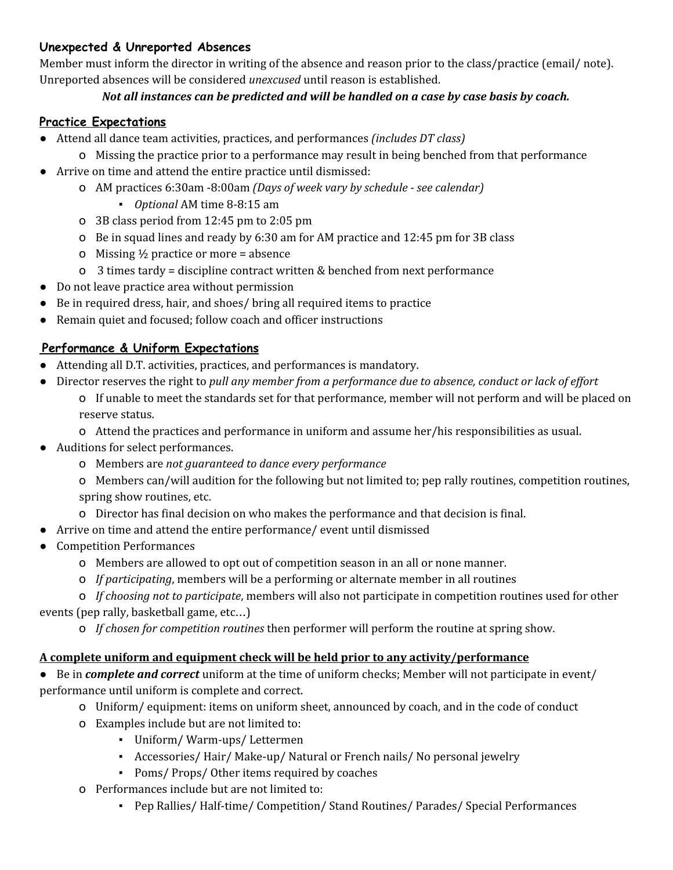## **Unexpected & Unreported Absences**

Member must inform the director in writing of the absence and reason prior to the class/practice (email/ note). Unreported absences will be considered *unexcused* until reason is established.

### *Not all instances can be predicted and will be handled on a case by case basis by coach.*

## **Practice Expectations**

- Attend all dance team activities, practices, and performances *(includes DT class)*
	- o Missing the practice prior to a performance may result in being benched from that performance
- Arrive on time and attend the entire practice until dismissed:
	- o AM practices 6:30am -8:00am *(Days of week vary by schedule - see calendar)*
		- *Optional* AM time 8-8:15 am
	- o 3B class period from 12:45 pm to 2:05 pm
	- o Be in squad lines and ready by 6:30 am for AM practice and 12:45 pm for 3B class
	- o Missing  $\frac{1}{2}$  practice or more = absence
	- o 3 times tardy = discipline contract written & benched from next performance
- Do not leave practice area without permission
- Be in required dress, hair, and shoes/ bring all required items to practice
- Remain quiet and focused; follow coach and officer instructions

### **Performance & Uniform Expectations**

- Attending all D.T. activities, practices, and performances is mandatory.
- Director reserves the right to *pull any member from a performance due to absence, conduct or lack of ef ort*
	- o If unable to meet the standards set for that performance, member will not perform and will be placed on reserve status.
	- o Attend the practices and performance in uniform and assume her/his responsibilities as usual.
- Auditions for select performances.
	- o Members are *not guaranteed to dance every performance*
	- o Members can/will audition for the following but not limited to; pep rally routines, competition routines, spring show routines, etc.
	- o Director has final decision on who makes the performance and that decision is final.
- Arrive on time and attend the entire performance/ event until dismissed
- Competition Performances
	- o Members are allowed to opt out of competition season in an all or none manner.
	- o *If participating*, members will be a performing or alternate member in all routines
	- o *If choosing not to participate*, members will also not participate in competition routines used for other

events (pep rally, basketball game, etc…)

o *If chosen for competition routines* then performer will perform the routine at spring show.

#### **A complete uniform and equipment check will be held prior to any activity/performance**

● Be in *complete and correct* uniform at the time of uniform checks; Member will not participate in event/ performance until uniform is complete and correct.

- o Uniform/ equipment: items on uniform sheet, announced by coach, and in the code of conduct
- o Examples include but are not limited to:
	- Uniform/ Warm-ups/ Lettermen
	- Accessories/ Hair/ Make-up/ Natural or French nails/ No personal jewelry
	- Poms/ Props/ Other items required by coaches
- o Performances include but are not limited to:
	- Pep Rallies/ Half-time/ Competition/ Stand Routines/ Parades/ Special Performances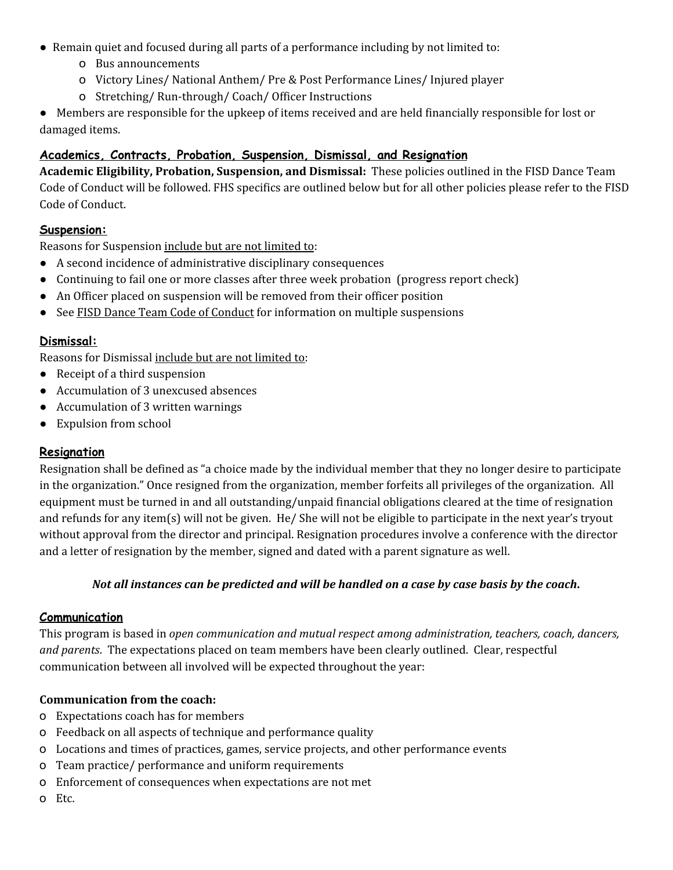- Remain quiet and focused during all parts of a performance including by not limited to:
	- o Bus announcements
	- o Victory Lines/ National Anthem/ Pre & Post Performance Lines/ Injured player
	- o Stretching/ Run-through/ Coach/ Officer Instructions

● Members are responsible for the upkeep of items received and are held financially responsible for lost or damaged items.

## **Academics, Contracts, Probation, Suspension, Dismissal, and Resignation**

**Academic Eligibility, Probation, Suspension, and Dismissal:** These policies outlined in the FISD Dance Team Code of Conduct will be followed. FHS specifics are outlined below but for all other policies please refer to the FISD Code of Conduct.

### **Suspension:**

Reasons for Suspension include but are not limited to:

- A second incidence of administrative disciplinary consequences
- Continuing to fail one or more classes after three week probation (progress report check)
- An Officer placed on suspension will be removed from their officer position
- See FISD Dance Team Code of Conduct for information on multiple suspensions

### **Dismissal:**

Reasons for Dismissal include but are not limited to:

- Receipt of a third suspension
- Accumulation of 3 unexcused absences
- Accumulation of 3 written warnings
- Expulsion from school

#### **Resignation**

Resignation shall be defined as "a choice made by the individual member that they no longer desire to participate in the organization." Once resigned from the organization, member forfeits all privileges of the organization. All equipment must be turned in and all outstanding/unpaid financial obligations cleared at the time of resignation and refunds for any item(s) will not be given. He/ She will not be eligible to participate in the next year's tryout without approval from the director and principal. Resignation procedures involve a conference with the director and a letter of resignation by the member, signed and dated with a parent signature as well.

#### Not all instances can be predicted and will be handled on a case by case basis by the coach.

#### **Communication**

This program is based in *open communication and mutual respect among administration, teachers, coach, dancers, and parents*. The expectations placed on team members have been clearly outlined. Clear, respectful communication between all involved will be expected throughout the year:

#### **Communication from the coach:**

- o Expectations coach has for members
- o Feedback on all aspects of technique and performance quality
- o Locations and times of practices, games, service projects, and other performance events
- o Team practice/ performance and uniform requirements
- o Enforcement of consequences when expectations are not met
- o Etc.